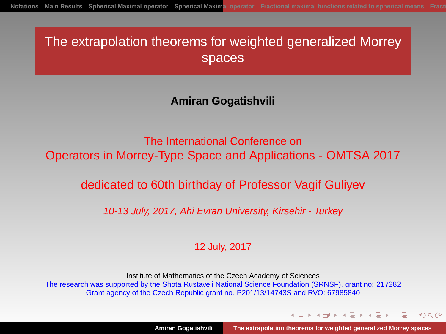# The extrapolation theorems for weighted generalized Morrey spaces

**Amiran Gogatishvili**

The International Conference on Operators in Morrey-Type Space and Applications - OMTSA 2017

dedicated to 60th birthday of Professor Vagif Guliyev

10-13 July, 2017, Ahi Evran University, Kirsehir - Turkey

12 July, 2017

Institute of Mathematics of the Czech Academy of Sciences The research was supported by the Shota Rustaveli National Science Foundation (SRNSF), grant no: 217282 Grant agency of the Czech Republic grant no. P201/13/14743S and RVO: 67985840

<span id="page-0-0"></span>イロト イ押 トイヨ トイヨト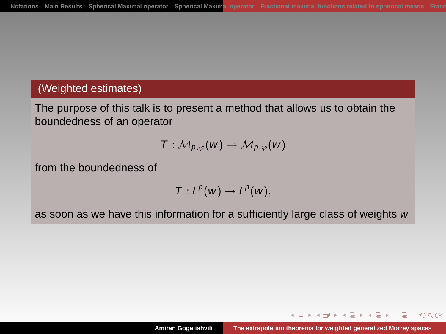#### (Weighted estimates)

The purpose of this talk is to present a method that allows us to obtain the boundedness of an operator

$$
\mathcal{T}: \mathcal{M}_{p,\varphi}(w) \to \mathcal{M}_{p,\varphi}(w)
$$

from the boundedness of

$$
T:L^p(w)\to L^p(w),
$$

as soon as we have this information for a sufficiently large class of weights w

イロト イ押 トイヨ トイヨト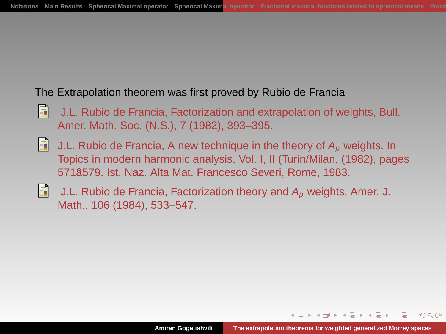#### The Extrapolation theorem was first proved by Rubio de Francia

- Ħ J.L. Rubio de Francia, Factorization and extrapolation of weights, Bull. Amer. Math. Soc. (N.S.), 7 (1982), 393–395.
- H J.L. Rubio de Francia, A new technique in the theory of  $A<sub>p</sub>$  weights. In Topics in modern harmonic analysis, Vol. I, II (Turin/Milan, (1982), pages 571â579. Ist. Naz. Alta Mat. Francesco Severi, Rome, 1983.
- Ħ J.L. Rubio de Francia, Factorization theory and  $A_p$  weights, Amer. J. Math., 106 (1984), 533–547.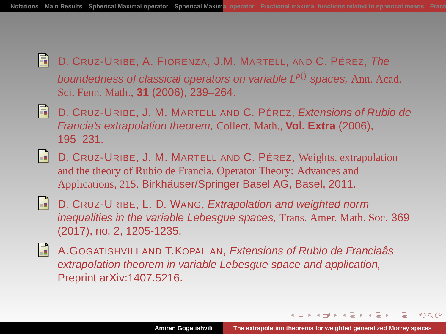- H D. CRUZ-URIBE, A. FIORENZA, J.M. MARTELL, AND C. PÉREZ, The boundedness of classical operators on variable  $L^{p(j)}$  spaces, Ann. Acad. Sci. Fenn. Math., **31** (2006), 239–264.
- Ħ D. CRUZ-URIBE, J. M. MARTELL AND C. PÉREZ, Extensions of Rubio de Francia's extrapolation theorem, Collect. Math., **Vol. Extra** (2006), 195–231.
- R D. CRUZ-URIBE, J. M. MARTELL AND C. PÉREZ, Weights, extrapolation and the theory of Rubio de Francia. Operator Theory: Advances and Applications, 215. Birkhäuser/Springer Basel AG, Basel, 2011.
- E.
	- D. CRUZ-URIBE, L. D. WANG, Extrapolation and weighted norm inequalities in the variable Lebesgue spaces, Trans. Amer. Math. Soc. 369 (2017), no. 2, 1205-1235.
- Ħ A.GOGATISHVILI AND T.KOPALIAN, Extensions of Rubio de Franciaâs extrapolation theorem in variable Lebesgue space and application, Preprint arXiv:1407.5216.

イロト イタト イモト イモト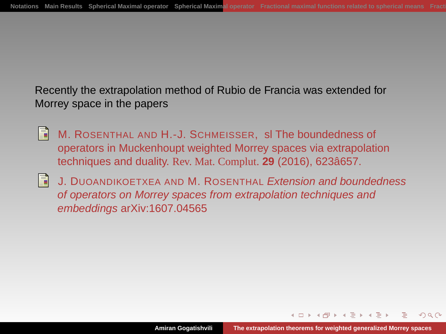Recently the extrapolation method of Rubio de Francia was extended for Morrey space in the papers

- R M. ROSENTHAL AND H.-J. SCHMEISSER, sl The boundedness of operators in Muckenhoupt weighted Morrey spaces via extrapolation techniques and duality. Rev. Mat. Complut. **29** (2016), 623â657.
- H J. DUOANDIKOETXEA AND M. ROSENTHAL Extension and boundedness of operators on Morrey spaces from extrapolation techniques and embeddings arXiv:1607.04565

 $4.50 \times 4.75 \times 4.75$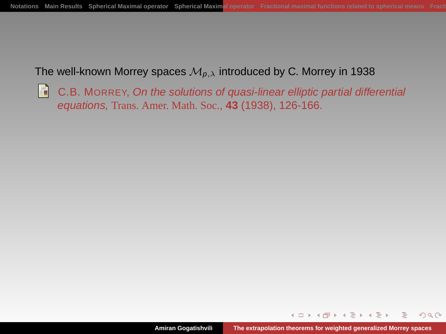The well-known Morrey spaces  $\mathcal{M}_{p,\lambda}$  introduced by C. Morrey in 1938

H C.B. MORREY, On the solutions of quasi-linear elliptic partial differential equations, Trans. Amer. Math. Soc., **43** (1938), 126-166.

 $\left\{ \bigoplus_k k \bigoplus_k k \bigoplus_k k \right\}$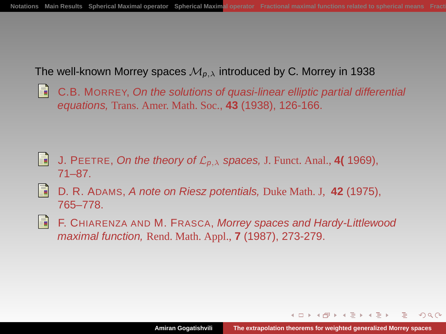#### The well-known Morrey spaces  $\mathcal{M}_{p,\lambda}$  introduced by C. Morrey in 1938

C.B. MORREY, On the solutions of quasi-linear elliptic partial differential equations, Trans. Amer. Math. Soc., **43** (1938), 126-166.

- E. J. PEETRE, On the theory of  $\mathcal{L}_{p,\lambda}$  spaces, J. Funct. Anal., **4(** 1969), 71–87.
- H D. R. ADAMS, A note on Riesz potentials, Duke Math. J, **42** (1975), 765–778.
- F. CHIARENZA AND M. FRASCA, Morrey spaces and Hardy-Littlewood maximal function, Rend. Math. Appl., **7** (1987), 273-279.

イロト イタト イモト イモト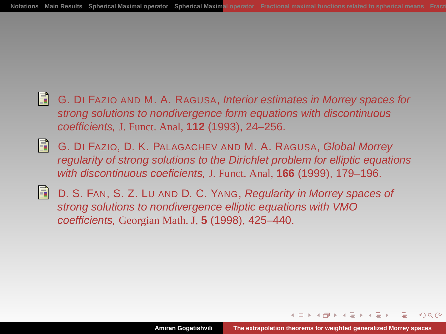- F. G. DI FAZIO AND M. A. RAGUSA, Interior estimates in Morrey spaces for strong solutions to nondivergence form equations with discontinuous coefficients, J. Funct. Anal, **112** (1993), 24–256.
- R G. DI FAZIO, D. K. PALAGACHEV AND M. A. RAGUSA, Global Morrey regularity of strong solutions to the Dirichlet problem for elliptic equations with discontinuous coeficients, J. Funct. Anal, **166** (1999), 179–196.
- E.

D. S. FAN, S. Z. LU AND D. C. YANG, Regularity in Morrey spaces of strong solutions to nondivergence elliptic equations with VMO coefficients, Georgian Math. J, **5** (1998), 425–440.

A + + = + + =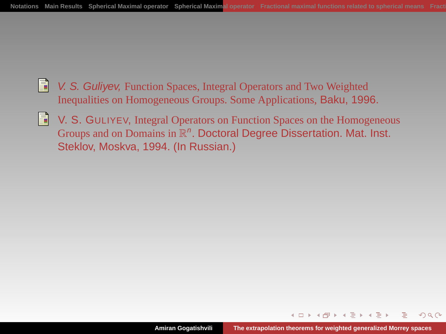- R V. S. Guliyev, Function Spaces, Integral Operators and Two Weighted Inequalities on Homogeneous Groups. Some Applications, Baku, 1996.
- V. S. GULIYEV, Integral Operators on Function Spaces on the Homogeneous R Groups and on Domains in  $\mathbb{R}^n$ . Doctoral Degree Dissertation. Mat. Inst. Steklov, Moskva, 1994. (In Russian.)

 $4.60 \times 4.72 \times 4.72 \times$ 

 $QQ$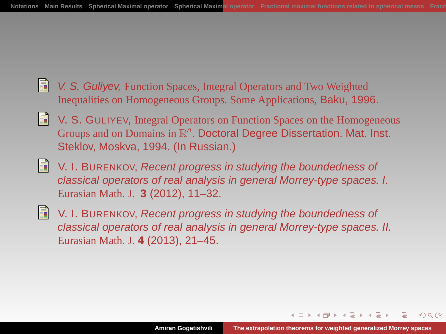- Ħ V. S. Guliyev, Function Spaces, Integral Operators and Two Weighted Inequalities on Homogeneous Groups. Some Applications, Baku, 1996.
- V. S. GULIYEV, Integral Operators on Function Spaces on the Homogeneous R Groups and on Domains in  $\mathbb{R}^n$ . Doctoral Degree Dissertation. Mat. Inst. Steklov, Moskva, 1994. (In Russian.)
- F. V. I. BURENKOV, Recent progress in studying the boundedness of classical operators of real analysis in general Morrey-type spaces. I. Eurasian Math. J. **3** (2012), 11–32.
- V. I. BURENKOV, Recent progress in studying the boundedness of H classical operators of real analysis in general Morrey-type spaces. II. Eurasian Math. J. **4** (2013), 21–45.

 $A = \begin{pmatrix} 1 & 1 & 1 \\ 1 & 1 & 1 \end{pmatrix} \begin{pmatrix} 1 & 1 & 1 \\ 1 & 1 & 1 \end{pmatrix}$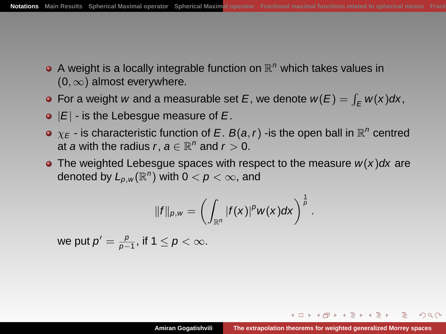- A weight is a locally integrable function on  $\mathbb{R}^n$  which takes values in  $(0, \infty)$  almost everywhere.
- For a weight w and a measurable set E, we denote  $w(E) = \int_E w(x) dx$ ,
- $\bullet$   $|E|$  is the Lebesgue measure of E.
- $\chi_E$  is characteristic function of E. B(a, r) -is the open ball in  $\mathbb{R}^n$  centred at a with the radius r,  $a \in \mathbb{R}^n$  and  $r > 0$ .
- The weighted Lebesgue spaces with respect to the measure  $w(x)dx$  are denoted by  $L_{p,w}(\mathbb{R}^n)$  with  $0 < p < \infty$ , and

$$
||f||_{\rho,w}=\left(\int_{\mathbb{R}^n}|f(x)|^p w(x)dx\right)^{\frac{1}{p}}.
$$

we put  $p'=\frac{p}{p-1}$ , if  $1\leq p<\infty.$ 

<span id="page-10-0"></span>イロト イ押 トイヨ トイヨ トー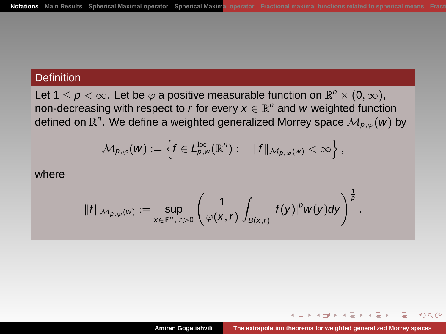## **Definition**

Let 1  $\leq$   $p$   $<$   $\infty$ . Let be  $\varphi$  a positive measurable function on  $\mathbb{R}^{n} \times$   $(0,\infty),$ non-decreasing with respect to r for every  $x \in \mathbb{R}^n$  and w weighted function defined on  $\mathbb{R}^n.$  We define a weighted generalized Morrey space  $\mathcal{M}_{\rho,\varphi}(w)$  by

$$
\mathcal{M}_{p,\varphi}(w):=\left\{f\in L_{p,w}^{\text{loc}}(\mathbb{R}^n):\quad \|f\|_{\mathcal{M}_{p,\varphi}(w)}<\infty\right\},
$$

where

$$
||f||_{\mathcal{M}_{p,\varphi}(w)} := \sup_{x \in \mathbb{R}^n, r>0} \left( \frac{1}{\varphi(x,r)} \int_{B(x,r)} |f(y)|^p w(y) dy \right)^{\frac{1}{p}}
$$

.

**≮何 ▶ ≮ ヨ ▶ ≮ ヨ ▶** 

 $QQ$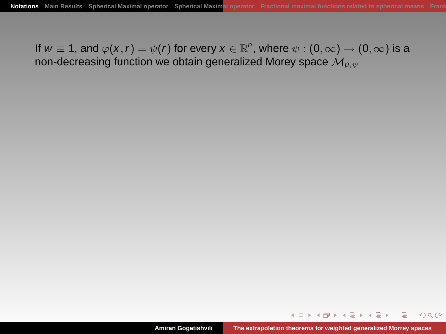If  $w\equiv$  1, and  $\varphi({x}, r)=\psi(r)$  for every  $x\in\mathbb{R}^n,$  where  $\psi:(0,\infty)\to(0,\infty)$  is a non-decreasing function we obtain generalized Morey space  $\mathcal{M}_{p,q}$ 

イロト イ伊 トイヨ トイヨ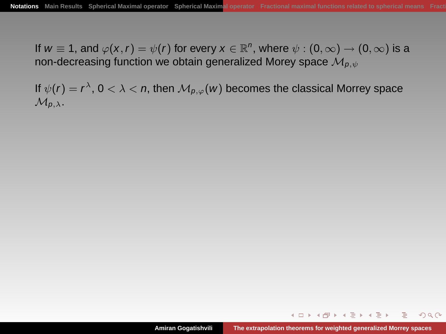If  $w\equiv$  1, and  $\varphi({x}, r)=\psi(r)$  for every  $x\in\mathbb{R}^n,$  where  $\psi:(0,\infty)\to(0,\infty)$  is a non-decreasing function we obtain generalized Morey space  $\mathcal{M}_{p,q}$ 

If  $\psi(r)=r^{\lambda}$ ,  $0<\lambda<\mathit{n},$  then  $\mathcal{M}_{\mathit{p},\varphi}(w)$  becomes the classical Morrey space  $\mathcal{M}_{p,\lambda}$ .

イロト イ伊 トイミト イヨト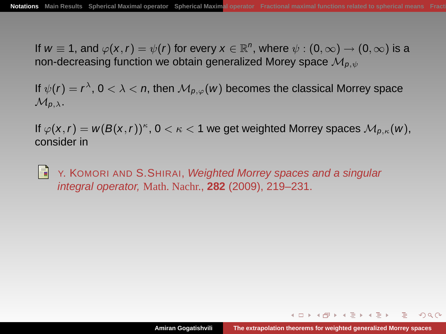If  $w\equiv$  1, and  $\varphi({x}, r)=\psi(r)$  for every  $x\in\mathbb{R}^n,$  where  $\psi:(0,\infty)\to(0,\infty)$  is a non-decreasing function we obtain generalized Morey space  $\mathcal{M}_{p,sl}$ 

If  $\psi(r)=r^{\lambda}$ ,  $0<\lambda<\mathit{n},$  then  $\mathcal{M}_{\mathit{p},\varphi}(w)$  becomes the classical Morrey space  $\mathcal{M}_{p,\lambda}$ .

If  $\varphi({\sf x},r) = {\sf w}({\sf B}({\sf x},r))^\kappa$  ,  $0<\kappa< 1$  we get weighted Morrey spaces  ${\mathcal M}_{\rho,\kappa}({\sf w}),$ consider in

H Y. KOMORI AND S. SHIRAI, Weighted Morrey spaces and a singular integral operator, Math. Nachr., **282** (2009), 219–231.

イロト イ団 トイモトイモト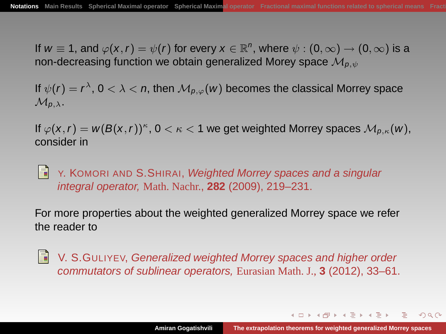If  $w\equiv$  1, and  $\varphi({x}, r)=\psi(r)$  for every  $x\in\mathbb{R}^n,$  where  $\psi:(0,\infty)\to(0,\infty)$  is a non-decreasing function we obtain generalized Morey space  $\mathcal{M}_{p,sl}$ 

If  $\psi(r)=r^{\lambda}$ ,  $0<\lambda<\mathit{n},$  then  $\mathcal{M}_{\mathit{p},\varphi}(w)$  becomes the classical Morrey space  $\mathcal{M}_{p,\lambda}$ .

If  $\varphi({\sf x},r) = {\sf w}({\sf B}({\sf x},r))^\kappa$  ,  $0<\kappa< 1$  we get weighted Morrey spaces  ${\mathcal M}_{\rho,\kappa}({\sf w}),$ consider in

H Y. KOMORI AND S. SHIRAI, Weighted Morrey spaces and a singular integral operator, Math. Nachr., **282** (2009), 219–231.

For more properties about the weighted generalized Morrey space we refer the reader to

V. S.GULIYEV, Generalized weighted Morrey spaces and higher order commutators of sublinear operators, Eurasian Math. J., **3** (2012), 33–61.

イロト イタト イモト イモト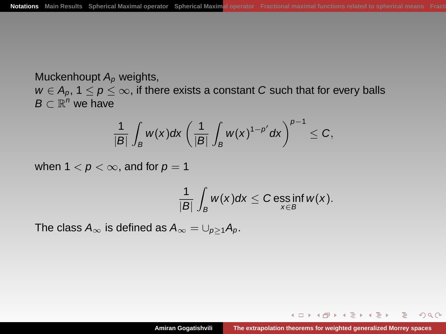Muckenhoupt  $A_p$  weights,  $w \in A_p$ ,  $1 \leq p \leq \infty$ , if there exists a constant C such that for every balls  $B \subset \mathbb{R}^n$  we have

$$
\frac{1}{|B|}\int_B w(x)dx\left(\frac{1}{|B|}\int_B w(x)^{1-p'}dx\right)^{p-1}\leq C,
$$

when  $1 < p < \infty$ , and for  $p = 1$ 

$$
\frac{1}{|B|}\int_B w(x)dx \leq C \operatorname{ess\,inf}_{x\in B} w(x).
$$

The class  $A_{\infty}$  is defined as  $A_{\infty} = \bigcup_{p>1} A_p$ .

イロト イ押 トイヨ トイヨト

 $QQ$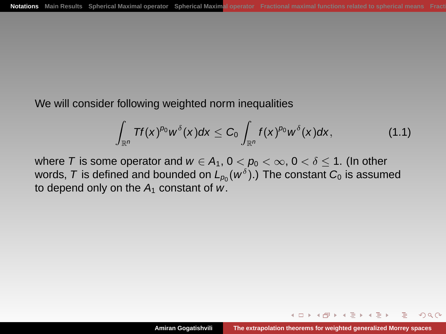We will consider following weighted norm inequalities

<span id="page-17-0"></span>
$$
\int_{\mathbb{R}^n} Tf(x)^{\rho_0} w^{\delta}(x) dx \leq C_0 \int_{\mathbb{R}^n} f(x)^{\rho_0} w^{\delta}(x) dx, \qquad (1.1)
$$

where T is some operator and  $w \in A_1$ ,  $0 < p_0 < \infty$ ,  $0 < \delta \le 1$ . (In other words,  $\mathcal T$  is defined and bounded on  $L_{\rho_0}(w^\delta).$  The constant  $\mathcal C_0$  is assumed to depend only on the  $A_1$  constant of w.

4 伊 ト 4 ミ ト 4

つくい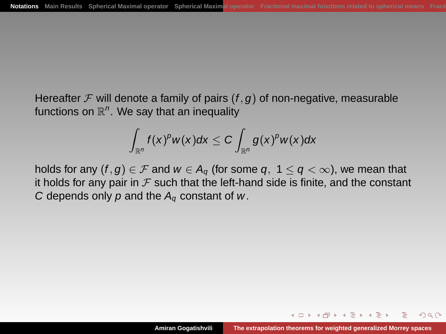Hereafter  $\mathcal F$  will denote a family of pairs  $(f, g)$  of non-negative, measurable functions on  $\mathbb{R}^n$ . We say that an inequality

$$
\int_{\mathbb{R}^n} f(x)^p w(x) dx \leq C \int_{\mathbb{R}^n} g(x)^p w(x) dx
$$

holds for any  $(f, g) \in \mathcal{F}$  and  $w \in A_g$  (for some q,  $1 \le q \le \infty$ ), we mean that it holds for any pair in  $\mathcal F$  such that the left-hand side is finite, and the constant C depends only  $p$  and the  $A_q$  constant of  $w$ .

 $4$  and  $\rightarrow$   $4$  . The  $\rightarrow$   $4$  . The  $\rightarrow$ 

つくい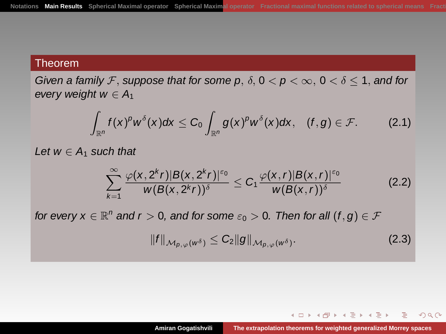Given a family F, suppose that for some p,  $\delta$ ,  $0 < p < \infty$ ,  $0 < \delta \leq 1$ , and for every weight  $w \in A_1$ 

$$
\int_{\mathbb{R}^n}f(x)^{\rho}w^{\delta}(x)dx\leq C_0\int_{\mathbb{R}^n}g(x)^{\rho}w^{\delta}(x)dx,\quad (f,g)\in\mathcal{F}.\tag{2.1}
$$

Let  $w \in A_1$  such that

$$
\sum_{k=1}^{\infty} \frac{\varphi(x, 2^k r)|B(x, 2^k r)|^{\varepsilon_0}}{w(B(x, 2^k r))^{\delta}} \leq C_1 \frac{\varphi(x, r)|B(x, r)|^{\varepsilon_0}}{w(B(x, r))^{\delta}}
$$
(2.2)

for every  $x\in\mathbb{R}^n$  and  $r>0,$  and for some  $\varepsilon_0>0.$  Then for all  $(f,g)\in\mathcal{F}$ 

$$
||f||_{\mathcal{M}_{p,\varphi}(w^{\delta})} \leq C_2 ||g||_{\mathcal{M}_{p,\varphi}(w^{\delta})}.
$$
 (2.3)

<span id="page-19-0"></span>イロト イ伊 トイミト イヨト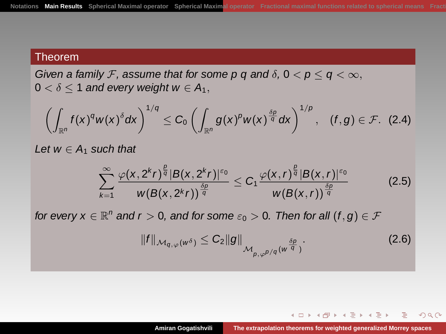Given a family F, assume that for some p q and  $\delta$ ,  $0 < p \le q < \infty$ ,  $0 < \delta < 1$  and every weight  $w \in A_1$ ,

$$
\left(\int_{\mathbb{R}^n}f(x)^q w(x)^{\delta} dx\right)^{1/q}\leq C_0\left(\int_{\mathbb{R}^n}g(x)^p w(x)^{\frac{\delta p}{q}} dx\right)^{1/p},\quad (f,g)\in\mathcal{F}.\quad (2.4)
$$

Let  $w \in A_1$  such that

$$
\sum_{k=1}^{\infty} \frac{\varphi(x, 2^k r)^{\frac{\beta}{q}} |B(x, 2^k r)|^{\varepsilon_0}}{w(B(x, 2^k r))^{\frac{\delta p}{q}}} \leq C_1 \frac{\varphi(x, r)^{\frac{\beta}{q}} |B(x, r)|^{\varepsilon_0}}{w(B(x, r))^{\frac{\delta p}{q}}}
$$
(2.5)

for every  $x \in \mathbb{R}^n$  and  $r > 0$ , and for some  $\varepsilon_0 > 0$ . Then for all  $(f, g) \in \mathcal{F}$ 

$$
||f||_{\mathcal{M}_{q,\varphi}(w^{\delta})} \leq C_2 ||g||_{\mathcal{M}_{p,\varphi^{p/q}}(w^{\frac{\delta p}{q}})}.
$$
\n(2.6)

<span id="page-20-0"></span>イロト イ伊 トイヨ トイヨト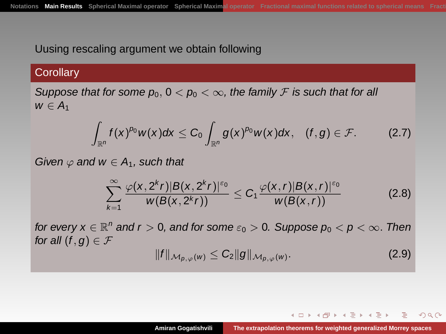## Uusing rescaling argument we obtain following

## **Corollary**

Suppose that for some  $p_0$ ,  $0 < p_0 < \infty$ , the family F is such that for all  $w \in A_1$ 

$$
\int_{\mathbb{R}^n} f(x)^{\rho_0} w(x) dx \leq C_0 \int_{\mathbb{R}^n} g(x)^{\rho_0} w(x) dx, \quad (f, g) \in \mathcal{F}.
$$
 (2.7)

Given  $\varphi$  and  $w \in A_1$ , such that

$$
\sum_{k=1}^{\infty} \frac{\varphi(x, 2^k r)|B(x, 2^k r)|^{\varepsilon_0}}{w(B(x, 2^k r))} \leq C_1 \frac{\varphi(x, r)|B(x, r)|^{\varepsilon_0}}{w(B(x, r))}
$$
(2.8)

for every  $x \in \mathbb{R}^n$  and  $r > 0$ , and for some  $\varepsilon_0 > 0$ . Suppose  $p_0 < p < \infty$ . Then for all  $(f, g) \in \mathcal{F}$ 

$$
||f||_{\mathcal{M}_{p,\varphi}(w)} \leq C_2 ||g||_{\mathcal{M}_{p,\varphi}(w)}.
$$
\n(2.9)

イロト イ押 トイヨ トイヨト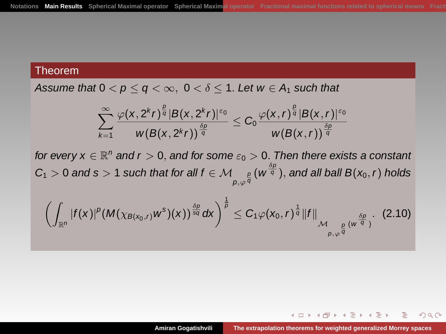Assume that  $0 < p \le q < \infty$ ,  $0 < \delta \le 1$ . Let  $w \in A_1$  such that

$$
\sum_{k=1}^\infty\frac{\varphi(x,2^kr)^{\frac{\beta}{q}}|B(x,2^kr)^{\varepsilon_0}}{w(B(x,2^kr))^{\frac{\delta p}{q}}}\leq C_0\frac{\varphi(x,r)^{\frac{\beta}{q}}|B(x,r)^{\varepsilon_0}}{w(B(x,r))^{\frac{\delta p}{q}}}
$$

for every  $x \in \mathbb{R}^n$  and  $r > 0$ , and for some  $\varepsilon_0 > 0$ . Then there exists a constant  $C_1>0$  and  $s>1$  such that for all  $f\in \mathcal M_{\rho,\varphi^{\frac{p}{q}}}(\mathsf{w}^{\frac{\delta p}{q}}),$  and all ball  $\mathsf{B}(\mathsf{x}_0,r)$  holds

$$
\left(\int_{\mathbb{R}^n}|f(x)|^p(M(\chi_{B(x_0,r)}w^s)(x))^{\frac{\delta p}{sq}}dx\right)^{\frac{1}{p}}\leq C_1\varphi(x_0,r)^{\frac{1}{q}}\|f\|_{\mathcal{M}_{\rho,\varphi^{\frac{\beta}{q}}}(w^{\frac{\delta p}{q}})}.\tag{2.10}
$$

イロト イ伊 トイヨ トイヨト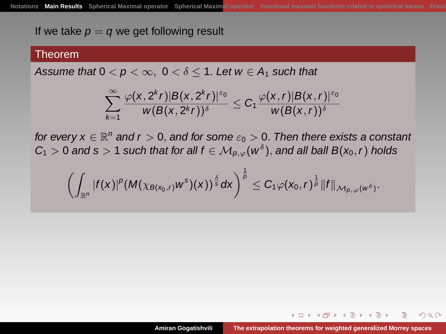If we take  $p = q$  we get following result

#### Theorem

Assume that  $0 < p < \infty$ ,  $0 < \delta < 1$ . Let  $w \in A_1$  such that

$$
\sum_{k=1}^{\infty} \frac{\varphi(x, 2^k r)|B(x, 2^k r)|^{\varepsilon_0}}{w(B(x, 2^k r))^{\delta}} \leq C_1 \frac{\varphi(x, r)|B(x, r)|^{\varepsilon_0}}{w(B(x, r))^{\delta}}
$$

for every  $x \in \mathbb{R}^n$  and  $r > 0$ , and for some  $\varepsilon_0 > 0$ . Then there exists a constant  $C_1 > 0$  and s  $> 1$  such that for all  $f \in \mathcal{M}_{p,\varphi}(w^\delta),$  and all ball  $B(x_0,r)$  holds

$$
\left(\int_{\mathbb{R}^n}|f(x)|^p(M(\chi_{B(x_0,r)}w^s)(x))^{\frac{\delta}{s}}dx\right)^{\frac{1}{p}}\leq C_1\varphi(x_0,r)^{\frac{1}{p}}\|f\|_{\mathcal{M}_{p,\varphi}(w^{\delta})}.
$$

 $\blacktriangleleft$   $\oplus$   $\blacktriangleright$   $\dashv$   $\exists$   $\blacktriangleright$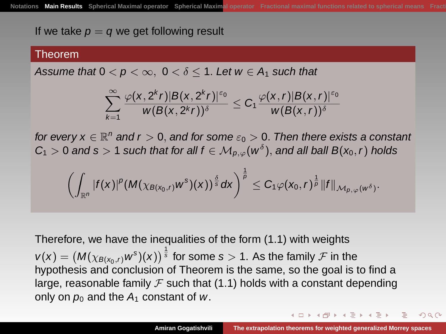If we take  $p = q$  we get following result

#### Theorem

Assume that  $0 < p < \infty$ ,  $0 < \delta < 1$ . Let  $w \in A_1$  such that

$$
\sum_{k=1}^{\infty} \frac{\varphi(x, 2^k r)|B(x, 2^k r)|^{\varepsilon_0}}{w(B(x, 2^k r))^{\delta}} \leq C_1 \frac{\varphi(x, r)|B(x, r)|^{\varepsilon_0}}{w(B(x, r))^{\delta}}
$$

for every  $x \in \mathbb{R}^n$  and  $r > 0$ , and for some  $\varepsilon_0 > 0$ . Then there exists a constant  $C_1 > 0$  and s  $> 1$  such that for all  $f \in \mathcal{M}_{p,\varphi}(w^\delta),$  and all ball  $B(x_0,r)$  holds

$$
\left(\int_{\mathbb{R}^n}|f(x)|^p(M(\chi_{B(x_0,r)}w^s)(x))^{\frac{\delta}{s}}dx\right)^{\frac{1}{p}}\leq C_1\varphi(x_0,r)^{\frac{1}{p}}\|f\|_{\mathcal{M}_{p,\varphi}(w^{\delta})}.
$$

Therefore, we have the inequalities of the form [\(1.1\)](#page-17-0) with weights

 $v(x)=\left(M(\chi_{\mathcal{B}(x_0,r)}w^{\mathrm{s}})(x)\right)^{\frac{1}{\mathrm{s}}}$  for some  $s>1.$  As the family  $\mathcal F$  in the hypothesis and conclusion of Theorem is the same, so the goal is to find a large, reasonable family  $\mathcal F$  such that [\(1.1\)](#page-17-0) holds with a constant depending only on  $p_0$  and the  $A_1$  constant of w.

イロト イタト イモト イモト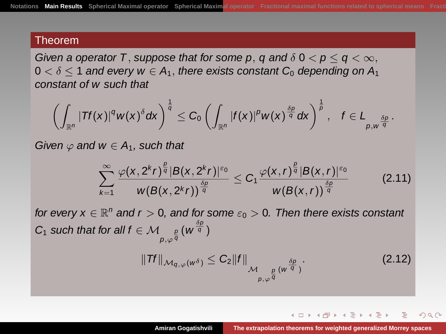Given a operator T, suppose that for some p, q and  $\delta$  0  $\lt p \le q < \infty$ ,  $0 < \delta < 1$  and every  $w \in A_1$ , there exists constant  $C_0$  depending on  $A_1$ constant of w such that

$$
\left(\int_{\mathbb{R}^n}|\textit{Tf}(x)|^q w(x)^{\delta}dx\right)^{\frac{1}{q}}\leq C_0\left(\int_{\mathbb{R}^n}|\textit{f}(x)|^pw(x)^{\frac{\delta p}{q}}dx\right)^{\frac{1}{p}},\quad f\in L_{\rho,w^{\frac{\delta p}{q}}}.
$$

Given  $\varphi$  and  $w \in A_1$ , such that

$$
\sum_{k=1}^{\infty} \frac{\varphi(x, 2^k r)^{\frac{p}{q}} |B(x, 2^k r)|^{\varepsilon_0}}{w(B(x, 2^k r))^{\frac{\delta p}{q}}} \leq C_1 \frac{\varphi(x, r)^{\frac{p}{q}} |B(x, r)|^{\varepsilon_0}}{w(B(x, r))^{\frac{\delta p}{q}}}
$$
(2.11)

for every  $x \in \mathbb{R}^n$  and  $r > 0$ , and for some  $\varepsilon_0 > 0$ . Then there exists constant C<sub>1</sub> such that for all  $f \in \mathcal{M}_{p,\varphi^{\frac{p}{q}}}(\mathsf{w}^{\frac{\delta p}{q}})$  $\|Tf\|_{\mathcal{M}_{q,\varphi}(w^\delta)} \leq C_2 \|f\|_{\mathcal{M}_{\rho,\varphi^{\frac{\rho}{q}}}(w^{\frac{\delta\rho}{q}})}.$  $(2.12)$ 

イロト イ団 トイモトイモト

つくい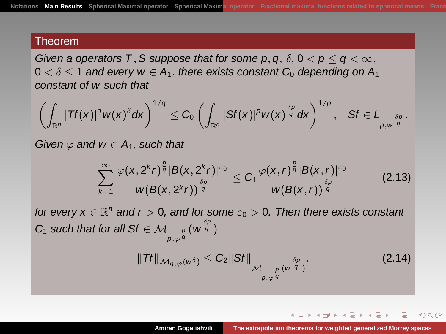Given a operators T, S suppose that for some p, q,  $\delta$ ,  $0 < p \le q < \infty$ ,  $0 < \delta < 1$  and every  $w \in A_1$ , there exists constant  $C_0$  depending on  $A_1$ constant of w such that

$$
\left(\int_{\mathbb{R}^n} |Tf(x)|^q w(x)^{\delta} dx\right)^{1/q} \leq C_0 \left(\int_{\mathbb{R}^n} |Sf(x)|^p w(x)^{\frac{\delta p}{q}} dx\right)^{1/p}, \quad Sf \in L_{p, w^{\frac{\delta p}{q}}}.
$$

Given  $\varphi$  and  $w \in A_1$ , such that

$$
\sum_{k=1}^{\infty} \frac{\varphi(x, 2^k r)^{\frac{\beta}{q}} |B(x, 2^k r)|^{\varepsilon_0}}{w(B(x, 2^k r))^{\frac{\delta p}{q}}} \leq C_1 \frac{\varphi(x, r)^{\frac{\beta}{q}} |B(x, r)|^{\varepsilon_0}}{w(B(x, r))^{\frac{\delta p}{q}}}
$$
(2.13)

for every  $x \in \mathbb{R}^n$  and  $r > 0$ , and for some  $\varepsilon_0 > 0$ . Then there exists constant  $C_1$  such that for all Sf  $\in \mathcal{M}_{\rho, \varphi^{\frac{\rho}{q}}}(\mathsf{w}^{\frac{\delta\rho}{q}})$  $\|Tf\|_{\mathcal{M}_{q,\varphi}(w^\delta)} \leq C_2 \|Sf\|_{\mathcal{M}_{\rho,\varphi^{\frac{\beta}{q}}}(w^{\frac{\delta\rho}{q}})}.$  $(2.14)$ 

イロト イ押 トイヨ トイヨト

つくい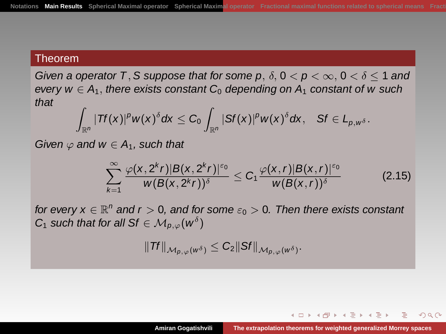Given a operator T, S suppose that for some p,  $\delta$ ,  $0 < p < \infty$ ,  $0 < \delta < 1$  and every  $w \in A_1$ , there exists constant C<sub>0</sub> depending on  $A_1$  constant of w such that Z

$$
\int_{\mathbb{R}^n} |Tf(x)|^p w(x)^{\delta} dx \leq C_0 \int_{\mathbb{R}^n} |Sf(x)|^p w(x)^{\delta} dx, \quad Sf \in L_{p, w^{\delta}}.
$$

Given  $\varphi$  and  $w \in A_1$ , such that

$$
\sum_{k=1}^{\infty} \frac{\varphi(x, 2^k r)|B(x, 2^k r)|^{\varepsilon_0}}{w(B(x, 2^k r))^{\delta}} \leq C_1 \frac{\varphi(x, r)|B(x, r)|^{\varepsilon_0}}{w(B(x, r))^{\delta}}
$$
(2.15)

for every  $x \in \mathbb{R}^n$  and  $r > 0$ , and for some  $\varepsilon_0 > 0$ . Then there exists constant  $C_1$  such that for all Sf  $\in \mathcal{M}_{p,\varphi}(w^\delta)$ 

$$
||\mathit{Tf}||_{\mathcal{M}_{p,\varphi}(w^{\delta})}\leq C_{2}||\mathit{Sf}||_{\mathcal{M}_{p,\varphi}(w^{\delta})}.
$$

 $4$  m }  $4$   $\bar{m}$  }  $4$   $\bar{m}$  }  $4$   $\bar{m}$  }  $4$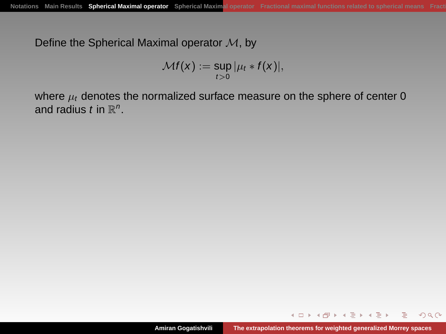Define the Spherical Maximal operator  $M$ , by

$$
\mathcal{M}f(x) := \sup_{t>0} |\mu_t * f(x)|,
$$

where  $\mu_t$  denotes the normalized surface measure on the sphere of center 0 and radius t in  $\mathbb{R}^n$ .

<span id="page-28-0"></span>イロト イ伊 トイヨ トイヨト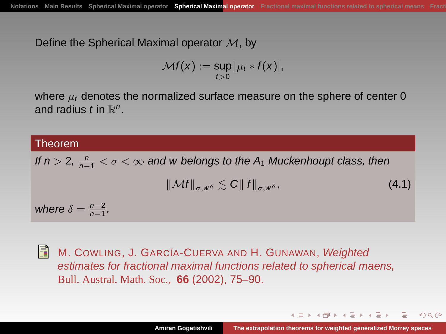Define the Spherical Maximal operator  $M$ , by

$$
\mathcal{M}f(x) := \sup_{t>0} |\mu_t * f(x)|,
$$

where  $\mu_t$  denotes the normalized surface measure on the sphere of center 0 and radius t in  $\mathbb{R}^n$ .

# Theorem If  $n > 2$ ,  $\frac{n}{n-1} < \sigma < \infty$  and w belongs to the  $A_1$  Muckenhoupt class, then  $\|\mathcal{M}f\|_{\sigma w\delta} \leq C \|f\|_{\sigma w\delta},$  (4.1) where  $\delta = \frac{n-2}{n-1}$ .



M. COWLING, J. GARCÍA-CUERVA AND H. GUNAWAN, Weighted estimates for fractional maximal functions related to spherical maens, Bull. Austral. Math. Soc., **66** (2002), 75–90.

<span id="page-29-0"></span>イロト イ押 トイヨ トイヨト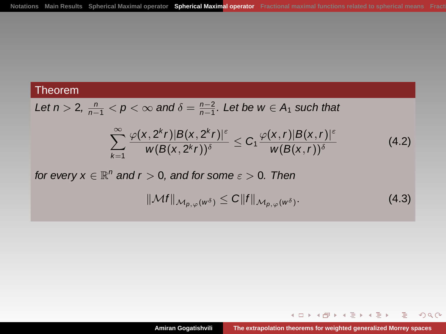Let 
$$
n > 2
$$
,  $\frac{n}{n-1} < p < \infty$  and  $\delta = \frac{n-2}{n-1}$ . Let be  $w \in A_1$  such that

$$
\sum_{k=1}^{\infty} \frac{\varphi(x, 2^k r)|B(x, 2^k r)|^{\varepsilon}}{w(B(x, 2^k r))^{\delta}} \leq C_1 \frac{\varphi(x, r)|B(x, r)|^{\varepsilon}}{w(B(x, r))^{\delta}}
$$
(4.2)

for every  $x \in \mathbb{R}^n$  and  $r > 0$ , and for some  $\varepsilon > 0$ . Then

$$
\|\mathcal{M}f\|_{\mathcal{M}_{p,\varphi}(w^{\delta})} \leq C \|f\|_{\mathcal{M}_{p,\varphi}(w^{\delta})}.
$$
\n(4.3)

イロトメ 倒 トメ 差 トメ 差 トー

G.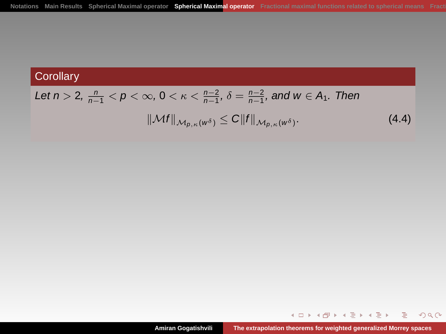# **Corollary**

# Let  $n > 2$ ,  $\frac{n}{n-1} < p < \infty$ ,  $0 < \kappa < \frac{n-2}{n-1}$ ,  $\delta = \frac{n-2}{n-1}$ , and  $w \in A_1$ . Then  $\|\mathcal{M}f\|_{\mathcal{M}_{p,\kappa}(w^{\delta})} \leq C \|f\|_{\mathcal{M}_{p,\kappa}(w^{\delta})}.$  $(4.4)$

イロト イ伊 トイヨ トイヨト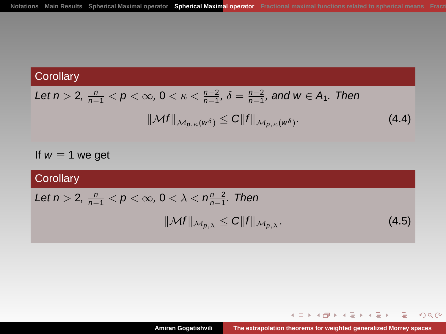# **Corollary**

Let 
$$
n > 2
$$
,  $\frac{n}{n-1} < p < \infty$ ,  $0 < \kappa < \frac{n-2}{n-1}$ ,  $\delta = \frac{n-2}{n-1}$ , and  $w \in A_1$ . Then  

$$
||\mathcal{M}f||_{\mathcal{M}_{p,\kappa}(w^{\delta})} \leq C||f||_{\mathcal{M}_{p,\kappa}(w^{\delta})}.
$$
 (4.4)

If  $w \equiv 1$  we get

# **Corollary** Let  $n > 2$ ,  $\frac{n}{n-1} < p < \infty$ ,  $0 < \lambda < n\frac{n-2}{n-1}$ . Then  $\|\mathcal{M}f\|_{\mathcal{M}_{p,\lambda}} \leq C \|f\|_{\mathcal{M}_{p,\lambda}}$ . (4.5)

イロト イ押 トイミト イミト

G.

 $299$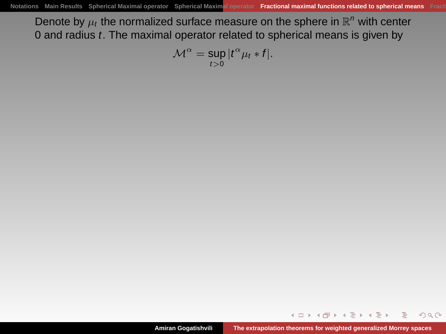Denote by  $\mu_t$  the normalized surface measure on the sphere in  $\mathbb{R}^n$  with center 0 and radius  $t$ . The maximal operator related to spherical means is given by

$$
\mathcal{M}^{\alpha} = \sup_{t>0} |t^{\alpha} \mu_t * f|.
$$

4 0 5 1

<span id="page-33-0"></span> $4.60 \times 4.72 \times 4.72 \times$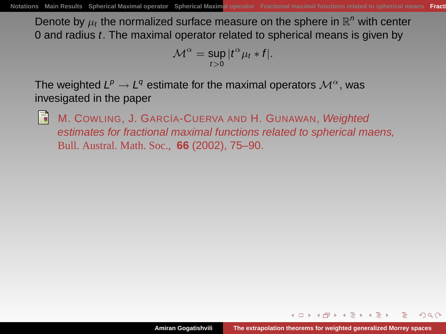Denote by  $\mu_t$  the normalized surface measure on the sphere in  $\mathbb{R}^n$  with center 0 and radius t. The maximal operator related to spherical means is given by

$$
\mathcal{M}^{\alpha} = \sup_{t>0} |t^{\alpha} \mu_t * f|.
$$

The weighted  $L^p \rightarrow L^q$  estimate for the maximal operators  $\mathcal{M}^{\alpha}$ , was invesigated in the paper



M. COWLING, J. GARCÍA-CUERVA AND H. GUNAWAN, Weighted estimates for fractional maximal functions related to spherical maens, Bull. Austral. Math. Soc., **66** (2002), 75–90.

<span id="page-34-0"></span> $\mathcal{A}=\mathcal{A}^{\mathcal{A}}\mathcal{A}^{\mathcal{A}}\mathcal{A}^{\mathcal{A}}=\mathcal{A}^{\mathcal{A}}\mathcal{A}^{\mathcal{A}}=\mathcal{A}^{\mathcal{A}}\mathcal{A}^{\mathcal{A}}$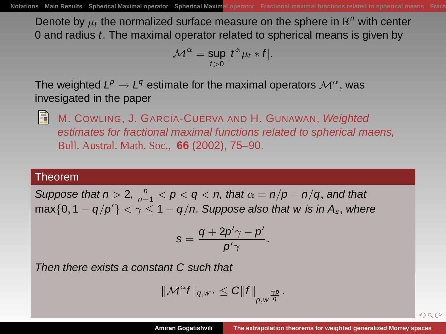Denote by  $\mu_t$  the normalized surface measure on the sphere in  $\mathbb{R}^n$  with center 0 and radius t. The maximal operator related to spherical means is given by

$$
\mathcal{M}^{\alpha} = \sup_{t>0} |t^{\alpha} \mu_t * f|.
$$

The weighted  $L^p \rightarrow L^q$  estimate for the maximal operators  $\mathcal{M}^{\alpha}$ , was invesigated in the paper



M. COWLING, J. GARCÍA-CUERVA AND H. GUNAWAN, Weighted estimates for fractional maximal functions related to spherical maens, Bull. Austral. Math. Soc., **66** (2002), 75–90.

### Theorem

Suppose that  $n > 2$ ,  $\frac{n}{n-1} < p < q < n$ , that  $\alpha = n/p - n/q$ , and that max $\{0, 1 - q/p'\} < \gamma \leq 1 - q/n$ . Suppose also that w is in  $A_s$ , where

$$
s=\frac{q+2p'\gamma-p'}{p'\gamma}.
$$

Then there exists a constant C such that

$$
\|\mathcal{M}^{\alpha}f\|_{q,w^{\gamma}}\leq C\|f\|_{p,w^{\frac{\gamma p}{q}}}.
$$

<span id="page-35-0"></span> $000$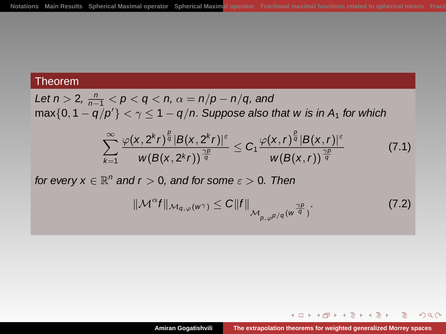Let 
$$
n > 2
$$
,  $\frac{n}{n-1} < p < q < n$ ,  $\alpha = \frac{n}{p} - \frac{n}{q}$ , and  $\max\{0, 1 - \frac{q}{p'}\} < \gamma \leq 1 - \frac{q}{n}$ . Suppose also that  $w$  is in  $A_1$  for which

$$
\sum_{k=1}^{\infty} \frac{\varphi(x, 2^k r)^{\frac{\beta}{q}} |B(x, 2^k r)|^{\varepsilon}}{w(B(x, 2^k r))^{\frac{\gamma p}{q}}} \leq C_1 \frac{\varphi(x, r)^{\frac{\beta}{q}} |B(x, r)|^{\varepsilon}}{w(B(x, r))^{\frac{\gamma p}{q}}}
$$
(7.1)

for every  $x \in \mathbb{R}^n$  and  $r > 0$ , and for some  $\varepsilon > 0$ . Then

$$
\|\mathcal{M}^{\alpha}f\|_{\mathcal{M}_{q,\varphi}(w^{\gamma})}\leq C\|f\|_{\mathcal{M}_{p,\varphi^{p/q}}(w^{\frac{\gamma p}{q}})}.
$$
\n(7.2)

イロトイ団 トイ君 トイ君 トー

G.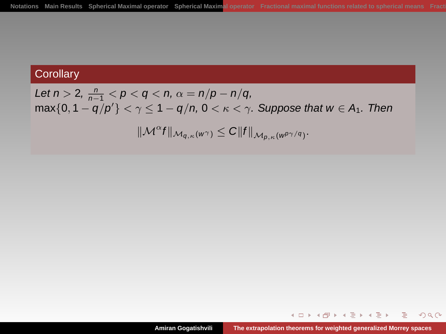## **Corollary**

Let  $n > 2$ ,  $\frac{n}{n-1} < p < q < n$ ,  $\alpha = n/p - n/q$ ,  $\max\{0, 1 - q/p'\} < \gamma \leq 1 - q/n$ ,  $0 < \kappa < \gamma$ . Suppose that  $w \in A_1$ . Then  $\|\mathcal{M}^{\alpha}f\|_{\mathcal{M}_{q,\kappa}(w^{\gamma})}\leq C\|f\|_{\mathcal{M}_{p,\kappa}(w^{p\gamma/q})}.$ 

イロト イ伊 トイミト イヨト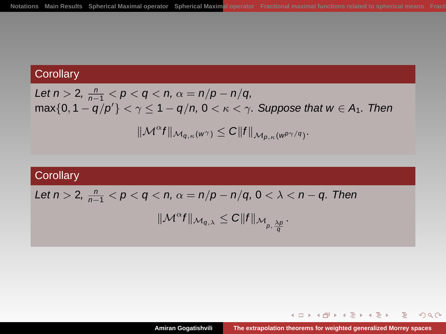# **Corollary**

Let 
$$
n > 2
$$
,  $\frac{n}{n-1} < p < q < n$ ,  $\alpha = n/p - n/q$ ,  
\n $\max\{0, 1 - q/p'\} < \gamma \le 1 - q/n$ ,  $0 < \kappa < \gamma$ . Suppose that  $w \in A_1$ . Then  
\n
$$
||\mathcal{M}^{\alpha}f||_{\mathcal{M}_{q,\kappa}(w^{\gamma})} \le C||f||_{\mathcal{M}_{p,\kappa}(w^{p\gamma/q})}.
$$

# **Corollary**

Let 
$$
n > 2
$$
,  $\frac{n}{n-1} < p < q < n$ ,  $\alpha = \frac{n}{p} - \frac{n}{q}$ ,  $0 < \lambda < n - q$ . Then

$$
\|\mathcal{M}^{\alpha}f\|_{\mathcal{M}_{q,\lambda}}\leq C\|f\|_{\mathcal{M}_{p,\frac{\lambda p}{q}}}.
$$

イロトイ団 トイミトイミト 一毛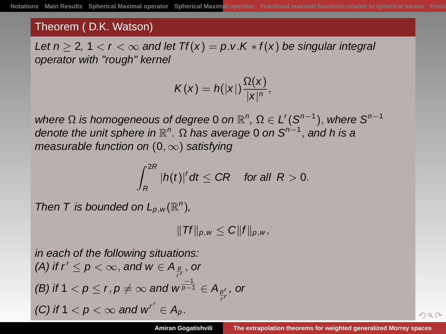#### Theorem ( D.K. Watson)

Let  $n > 2$ ,  $1 < r < \infty$  and let  $Tf(x) = p.v.K * f(x)$  be singular integral operator with "rough" kernel

$$
K(x)=h(|x|)\frac{\Omega(x)}{|x|^n},
$$

where  $\Omega$  is homogeneous of degree 0 on  $\mathbb{R}^n$ ,  $\Omega \in L^r(S^{n-1})$ , where  $S^{n-1}$ denote the unit sphere in  $\mathbb{R}^n$ .  $\Omega$  has average 0 on  $S^{n-1}$ , and h is a measurable function on  $(0, \infty)$  satisfying

$$
\int_R^{2R} |h(t)|^r dt \leq CR \quad \text{for all } R > 0.
$$

Then T is bounded on  $L_{p,w}(\mathbb{R}^n)$ ,

$$
||\mathit{Tf}||_{p,w}\leq C||f||_{p,w},
$$

in each of the following situations: (A) if  $r' \leq p < \infty$ , and  $w \in A_{\frac{p}{r'}}$ , or (B) if 1  $<$   $p$   $\leq$   $r,$   $p$   $\neq$   $\infty$  and  $w^{\frac{-1}{p-1}}$   $\in$   $A_{\frac{p'}{r'}}$  , or r (C) if  $1 < p < \infty$  and  $w^{r'} \in A_p$ .

<span id="page-39-0"></span> $QQ$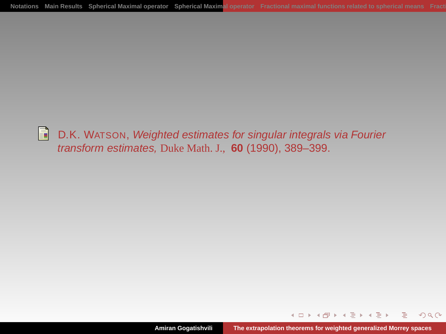R D.K. WATSON, Weighted estimates for singular integrals via Fourier transform estimates, Duke Math. J., **60** (1990), 389–399.

イロト イ伊 トイヨ トイヨト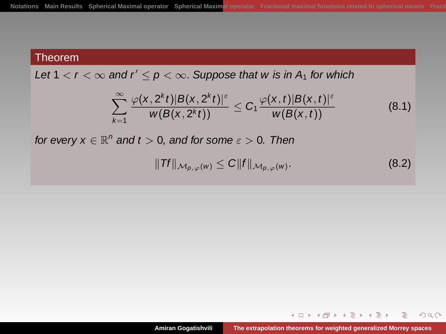Let  $1 < r < \infty$  and  $r' \le p < \infty$ . Suppose that w is in A<sub>1</sub> for which

$$
\sum_{k=1}^{\infty} \frac{\varphi(x,2^kt)|B(x,2^kt)|^{\varepsilon}}{w(B(x,2^kt))} \leq C_1 \frac{\varphi(x,t)|B(x,t)|^{\varepsilon}}{w(B(x,t))}
$$
(8.1)

for every  $x \in \mathbb{R}^n$  and  $t > 0$ , and for some  $\varepsilon > 0$ . Then

$$
||\mathit{Tf}||_{\mathcal{M}_{p,\varphi}(w)} \leq C||f||_{\mathcal{M}_{p,\varphi}(w)}.
$$
\n(8.2)

イロト イ伊 トイミト イヨト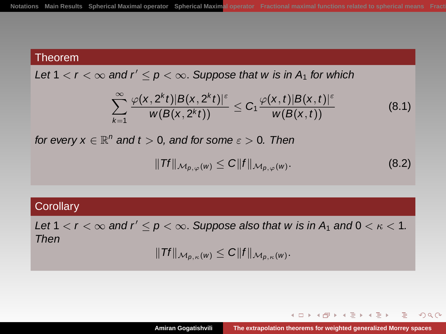Let  $1 < r < \infty$  and  $r' < p < \infty$ . Suppose that w is in A<sub>1</sub> for which

$$
\sum_{k=1}^{\infty} \frac{\varphi(x,2^kt)|B(x,2^kt)|^{\varepsilon}}{w(B(x,2^kt))} \leq C_1 \frac{\varphi(x,t)|B(x,t)|^{\varepsilon}}{w(B(x,t))}
$$
(8.1)

for every  $x \in \mathbb{R}^n$  and  $t > 0$ , and for some  $\varepsilon > 0$ . Then

$$
||\mathit{Tf}||_{\mathcal{M}_{p,\varphi}(w)} \leq C||f||_{\mathcal{M}_{p,\varphi}(w)}.
$$
\n(8.2)

#### **Corollary**

Let  $1 < r < \infty$  and  $r' < p < \infty$ . Suppose also that w is in  $A_1$  and  $0 < \kappa < 1$ . Then

$$
||\mathit{Tf}||_{\mathcal{M}_{p,\kappa}(w)} \leq C||f||_{\mathcal{M}_{p,\kappa}(w)}.
$$

イロト イ押 トイヨ トイヨ トー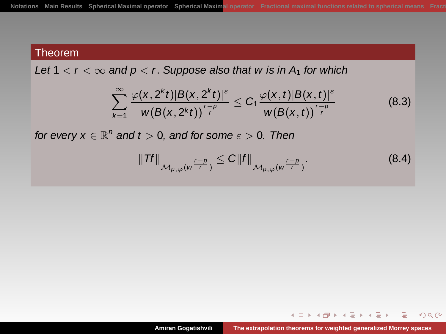Let  $1 < r < \infty$  and  $p < r$ . Suppose also that w is in  $A_1$  for which

$$
\sum_{k=1}^{\infty} \frac{\varphi(x, 2^k t) |B(x, 2^k t)|^{\varepsilon}}{w(B(x, 2^k t))^{\frac{r-p}{r}}} \leq C_1 \frac{\varphi(x, t) |B(x, t)|^{\varepsilon}}{w(B(x, t))^{\frac{r-p}{r}}}
$$
(8.3)

for every  $x \in \mathbb{R}^n$  and  $t > 0$ , and for some  $\varepsilon > 0$ . Then

$$
||\mathit{TF}||_{\mathcal{M}_{p,\varphi}(w^{\frac{r-p}{r}})} \leq C||f||_{\mathcal{M}_{p,\varphi}(w^{\frac{r-p}{r}})}.
$$
\n
$$
(8.4)
$$

イロト イ伊 トイミト イヨト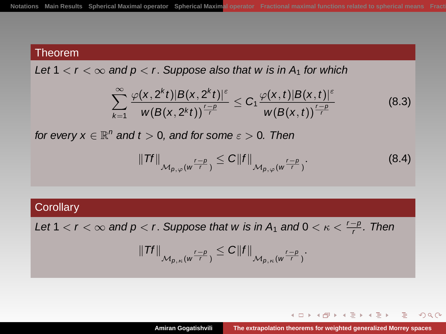Let  $1 < r < \infty$  and  $p < r$ . Suppose also that w is in  $A_1$  for which

$$
\sum_{k=1}^{\infty} \frac{\varphi(x, 2^k t) |B(x, 2^k t)|^{\varepsilon}}{w(B(x, 2^k t))^{\frac{r-p}{r}}} \leq C_1 \frac{\varphi(x, t) |B(x, t)|^{\varepsilon}}{w(B(x, t))^{\frac{r-p}{r}}}
$$
(8.3)

for every  $x \in \mathbb{R}^n$  and  $t > 0$ , and for some  $\varepsilon > 0$ . Then

$$
||\mathit{TF}||_{\mathcal{M}_{p,\varphi}(w^{\frac{r-p}{r}})} \leq C||f||_{\mathcal{M}_{p,\varphi}(w^{\frac{r-p}{r}})}.
$$
\n
$$
(8.4)
$$

#### **Corollary**

Let 1  $<$  r  $<$   $\infty$  and p  $<$  r. Suppose that w is in A<sub>1</sub> and 0  $<$   $\kappa$   $<$   $\frac{r-p}{r}$ . Then

$$
||\mathit{Tf}||_{\mathcal{M}_{p,\kappa}(w^{\frac{r-p}{r}})} \leq C||f||_{\mathcal{M}_{p,\kappa}(w^{\frac{r-p}{r}})}.
$$

イロト イ伊 トイミト イヨト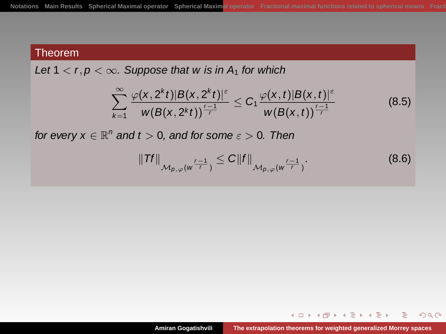Let  $1 < r, p < \infty$ . Suppose that w is in  $A_1$  for which

$$
\sum_{k=1}^{\infty} \frac{\varphi(x, 2^k t) |B(x, 2^k t)|^{\varepsilon}}{w(B(x, 2^k t))^{\frac{r-1}{r}}} \leq C_1 \frac{\varphi(x, t) |B(x, t)|^{\varepsilon}}{w(B(x, t))^{\frac{r-1}{r}}}
$$
(8.5)

for every  $x \in \mathbb{R}^n$  and  $t > 0$ , and for some  $\varepsilon > 0$ . Then

$$
||\mathit{TF}||_{\mathcal{M}_{p,\varphi}(w^{\frac{r-1}{r}})} \leq C||f||_{\mathcal{M}_{p,\varphi}(w^{\frac{r-1}{r}})}.
$$
\n
$$
(8.6)
$$

イロト イ伊 トイミト イヨト

 $2Q$ 

э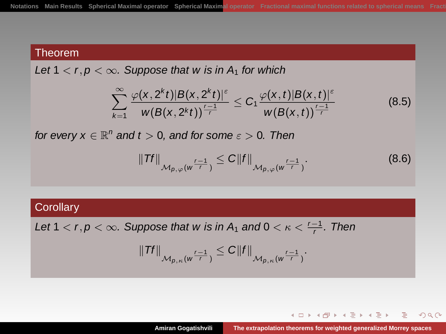Let  $1 < r, p < \infty$ . Suppose that w is in  $A_1$  for which

$$
\sum_{k=1}^{\infty} \frac{\varphi(x, 2^k t)|B(x, 2^k t)|^{\varepsilon}}{w(B(x, 2^k t))^{\frac{r-1}{r}}} \leq C_1 \frac{\varphi(x, t)|B(x, t)|^{\varepsilon}}{w(B(x, t))^{\frac{r-1}{r}}}
$$
(8.5)

for every  $x \in \mathbb{R}^n$  and  $t > 0$ , and for some  $\varepsilon > 0$ . Then

$$
||\mathit{TF}||_{\mathcal{M}_{p,\varphi}(w^{\frac{r-1}{r}})} \leq C||f||_{\mathcal{M}_{p,\varphi}(w^{\frac{r-1}{r}})}.
$$
\n
$$
(8.6)
$$

#### **Corollary**

Let 1  $<$  r, p  $<$   $\infty$ . Suppose that w is in A<sub>1</sub> and 0  $<$   $\kappa$   $<$   $\frac{r-1}{r}$ . Then

$$
||\mathit{Tf}||_{\mathcal{M}_{p,\kappa}(w^{\frac{r-1}{r}})} \leq C||f||_{\mathcal{M}_{p,\kappa}(w^{\frac{r-1}{r}})}.
$$

イロト イ伊 トイミト イヨト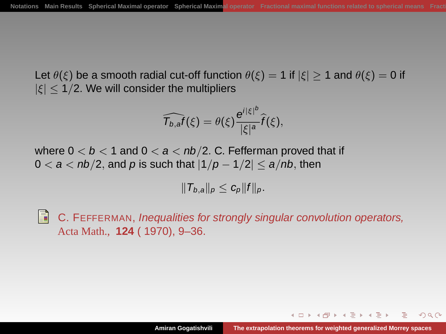Let  $\theta(\xi)$  be a smooth radial cut-off function  $\theta(\xi) = 1$  if  $|\xi| \ge 1$  and  $\theta(\xi) = 0$  if  $|\xi|$  < 1/2. We will consider the multipliers

$$
\widehat{\mathcal{T}_{b,a}f}(\xi)=\theta(\xi)\frac{e^{i|\xi|^b}}{|\xi|^a}\widehat{f}(\xi),
$$

where  $0 < b < 1$  and  $0 < a < nb/2$ . C. Fefferman proved that if  $0 < a < nb/2$ , and p is such that  $|1/p - 1/2| < a/nb$ , then

 $||T_{b,a}||_p \leq c_p ||f||_p.$ 

H C. FEFFERMAN, Inequalities for strongly singular convolution operators, Acta Math., **124** ( 1970), 9–36.

<span id="page-47-0"></span>A + 4 = + 4 = +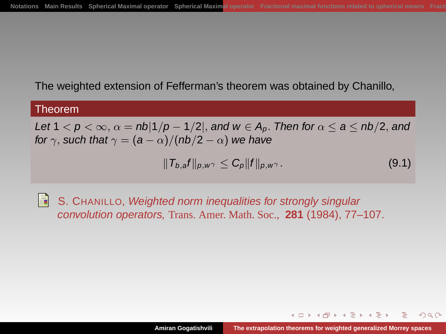The weighted extension of Fefferman's theorem was obtained by Chanillo,

#### Theorem

Let  $1 < p < \infty$ ,  $\alpha = nb|1/p - 1/2|$ , and  $w \in A_p$ . Then for  $\alpha \le a \le nb/2$ , and for  $\gamma$ , such that  $\gamma = (a - \alpha)/(nb/2 - \alpha)$  we have

$$
||T_{b,a}f||_{p,w^{\gamma}} \leq C_p||f||_{p,w^{\gamma}}.
$$
\n(9.1)

E) S. CHANILLO, Weighted norm inequalities for strongly singular convolution operators, Trans. Amer. Math. Soc., **281** (1984), 77–107.

 $\mathcal{A}=\mathcal{A}^{\mathcal{A}}\mathcal{A}^{\mathcal{A}}\mathcal{A}^{\mathcal{A}}=\mathcal{A}^{\mathcal{A}}\mathcal{A}^{\mathcal{A}}=\mathcal{A}^{\mathcal{A}}\mathcal{A}^{\mathcal{A}}$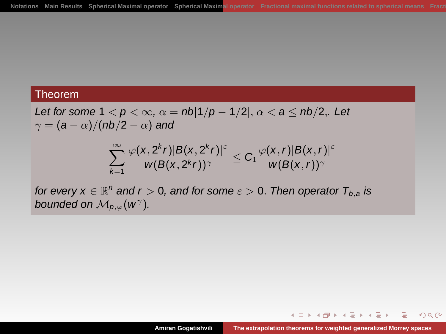Let for some  $1 < p < \infty$ ,  $\alpha = nb|1/p - 1/2|$ ,  $\alpha < a \leq nb/2$ ,. Let  $\gamma = (a - \alpha)/(nb/2 - \alpha)$  and

$$
\sum_{k=1}^{\infty} \frac{\varphi(x, 2^k r)|B(x, 2^k r)|^{\varepsilon}}{w(B(x, 2^k r))^{\gamma}} \leq C_1 \frac{\varphi(x, r)|B(x, r)|^{\varepsilon}}{w(B(x, r))^{\gamma}}
$$

for every  $x \in \mathbb{R}^n$  and  $r > 0$ , and for some  $\varepsilon > 0$ . Then operator  $T_{b,a}$  is bounded on  $\mathcal{M}_{p,\varphi}(w^{\gamma}).$ 

イロト イ伊 トイミト イヨト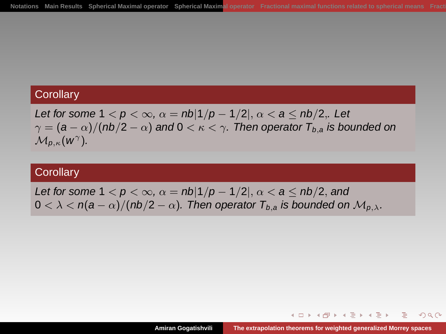#### **Corollary**

Let for some  $1 < p < \infty$ ,  $\alpha = nb|1/p - 1/2|$ ,  $\alpha < a \leq nb/2$ ,. Let  $\gamma = (a - \alpha)/(nb/2 - \alpha)$  and  $0 < \kappa < \gamma$ . Then operator  $T_{b,a}$  is bounded on  $\mathcal{M}_{p,\kappa}(W^{\gamma}).$ 

## **Corollary**

Let for some  $1 < p < \infty$ ,  $\alpha = nb|1/p - 1/2|$ ,  $\alpha < a \le nb/2$ , and  $0 < \lambda < n(a - \alpha)/(nb/2 - \alpha)$ . Then operator  $T_{b,a}$  is bounded on  $\mathcal{M}_{p,\lambda}$ .

 $4$  m }  $4$   $\bar{m}$  }  $4$   $\bar{m}$  }  $4$   $\bar{m}$  }  $4$ 

つくい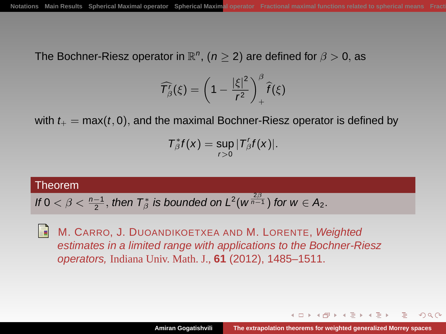The Bochner-Riesz operator in  $\mathbb{R}^n$ ,  $(n \geq 2)$  are defined for  $\beta > 0,$  as

$$
\widehat{T}_{\beta}^r(\xi) = \left(1 - \frac{|\xi|^2}{r^2}\right)_+^{\beta} \widehat{f}(\xi)
$$

with  $t_+ = \max(t, 0)$ , and the maximal Bochner-Riesz operator is defined by

$$
T_{\beta}^*f(x)=\sup_{r>0}|T_{\beta}^r f(x)|.
$$

### Theorem

If 
$$
0 < \beta < \frac{n-1}{2}
$$
, then  $T^*_{\beta}$  is bounded on  $L^2(w^{\frac{2\beta}{n-1}})$  for  $w \in A_2$ .

H M. CARRO, J. DUOANDIKOETXEA AND M. LORENTE, Weighted estimates in a limited range with applications to the Bochner-Riesz operators, Indiana Univ. Math. J., **61** (2012), 1485–1511.

<span id="page-51-0"></span>イロト イ押 トイヨ トイヨト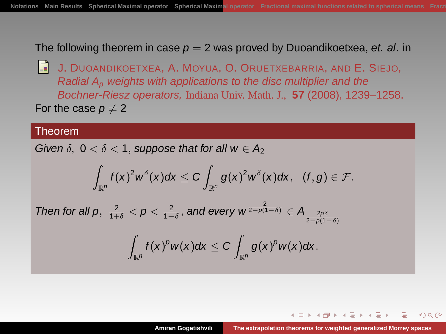The following theorem in case  $p = 2$  was proved by Duoandikoetxea, et. al. in

Ħ J. DUOANDIKOETXEA, A. MOYUA, O. ORUETXEBARRIA, AND E. SIEJO, Radial  $A_p$  weights with applications to the disc multiplier and the Bochner-Riesz operators, Indiana Univ. Math. J., **57** (2008), 1239–1258. For the case  $p \neq 2$ 

#### Theorem

 $Th<sub>0</sub>$ 

Given  $\delta$ ,  $0 < \delta < 1$ , suppose that for all  $w \in A_2$ 

$$
\int_{\mathbb{R}^n} f(x)^2 w^\delta(x) dx \leq C \int_{\mathbb{R}^n} g(x)^2 w^\delta(x) dx, \quad (f, g) \in \mathcal{F}.
$$
\n
$$
\text{on for all } p, \ \frac{2}{1+\delta} < p < \frac{2}{1-\delta}, \text{ and every } w^{\frac{2}{2-\rho(1-\delta)}} \in A_{\frac{2\rho\delta}{2-\rho(1-\delta)}}
$$
\n
$$
\int_{\mathbb{R}^n} f(x)^p w(x) dx \leq C \int_{\mathbb{R}^n} g(x)^p w(x) dx.
$$

A + + = + +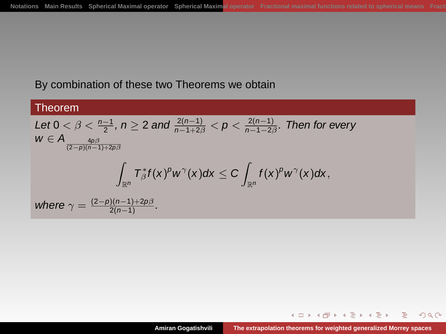## By combination of these two Theorems we obtain

#### Theorem

Let 
$$
0 < \beta < \frac{n-1}{2}
$$
,  $n \ge 2$  and  $\frac{2(n-1)}{n-1+2\beta} < p < \frac{2(n-1)}{n-1-2\beta}$ . Then for every  
\n
$$
w \in A_{\frac{4p\beta}{(2-p)(n-1)+2p\beta}}
$$
\n
$$
\int_{\mathbb{R}^n} T_{\beta}^* f(x)^p w^{\gamma}(x) dx \le C \int_{\mathbb{R}^n} f(x)^p w^{\gamma}(x) dx,
$$
\nwhere  $\gamma = \frac{(2-p)(n-1)+2p\beta}{2(n-1)}$ .

イロト 不配 トイモト 不思 トー

G.

 $299$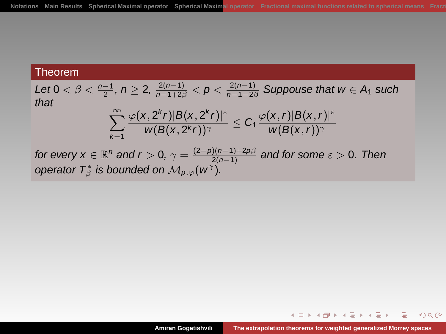Let 
$$
0 < \beta < \frac{n-1}{2}
$$
,  $n \geq 2$ ,  $\frac{2(n-1)}{n-1+2\beta} < p < \frac{2(n-1)}{n-1-2\beta}$ . Suppose that  $w \in A_1$  such that\n
$$
\sum_{k=1}^{\infty} \frac{\varphi(x, 2^k r)|B(x, 2^k r)|^{\varepsilon}}{w(B(x, 2^k r))^{\gamma}} \leq C_1 \frac{\varphi(x, r)|B(x, r)|^{\varepsilon}}{w(B(x, r))^{\gamma}}
$$
\nfor every  $x \in \mathbb{R}^n$  and  $r > 0$ ,  $\gamma = \frac{(2-p)(n-1)+2p\beta}{2(n-1)}$  and for some  $\varepsilon > 0$ . Then operator  $T^*_{\beta}$  is bounded on  $\mathcal{M}_{p,\varphi}(w^{\gamma})$ .

イロトメ団 トメ 君 トメ 君 トー 君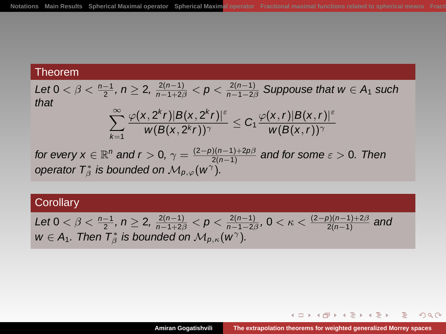Let 
$$
0 < \beta < \frac{n-1}{2}
$$
,  $n \geq 2$ ,  $\frac{2(n-1)}{n-1+2\beta} < p < \frac{2(n-1)}{n-1-2\beta}$ . Suppose that  $w \in A_1$  such that\n
$$
\sum_{k=1}^{\infty} \frac{\varphi(x, 2^k r)|B(x, 2^k r)|^{\varepsilon}}{w(B(x, 2^k r))^{\gamma}} \leq C_1 \frac{\varphi(x, r)|B(x, r)|^{\varepsilon}}{w(B(x, r))^{\gamma}}
$$
\nfor every  $x \in \mathbb{R}^n$  and  $r > 0$ ,  $\gamma = \frac{(2-p)(n-1)+2p\beta}{2(n-1)}$  and for some  $\varepsilon > 0$ . Then

operator  $T^*_\beta$  is bounded on  $\mathcal{M}_{p,\varphi}(w^\gamma)$ .

# **Corollary**

Let 
$$
0 < \beta < \frac{n-1}{2}
$$
,  $n \geq 2$ ,  $\frac{2(n-1)}{n-1+2\beta} < p < \frac{2(n-1)}{n-1-2\beta}$ ,  $0 < \kappa < \frac{(2-p)(n-1)+2\beta}{2(n-1)}$  and  $w \in A_1$ . Then  $T^*_{\beta}$  is bounded on  $\mathcal{M}_{p,\kappa}(w^{\gamma})$ .

K ロ ▶ K @ ▶ K 할 ▶ K 할 ▶ ( 할 ) 900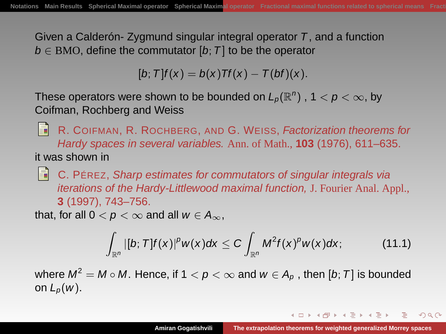Given a Calderón- Zygmund singular integral operator T, and a function  $b \in BMO$ , define the commutator [b; T] to be the operator

 $[b; T] f(x) = b(x)Tf(x) - T(bf)(x).$ 

These operators were shown to be bounded on  $L_p(\mathbb{R}^n)$  ,  $1 < p < \infty$ , by Coifman, Rochberg and Weiss

F. R. COIFMAN, R. ROCHBERG, AND G. WEISS, Factorization theorems for Hardy spaces in several variables. Ann. of Math., **103** (1976), 611–635. it was shown in

 $\blacksquare$  C. PÉREZ, Sharp estimates for commutators of singular integrals via iterations of the Hardy-Littlewood maximal function, J. Fourier Anal. Appl., **3** (1997), 743–756.

that, for all  $0 < p < \infty$  and all  $w \in A_{\infty}$ ,

$$
\int_{\mathbb{R}^n} |[b;T]f(x)|^p w(x) dx \leq C \int_{\mathbb{R}^n} M^2 f(x)^p w(x) dx; \qquad (11.1)
$$

where  $M^2=M\circ M.$  Hence, if  $1< p<\infty$  and  $w\in A_p$  , then  $[b;T]$  is bounded on  $L_p(w)$ .

<span id="page-56-0"></span>イロト イタト イモト イモト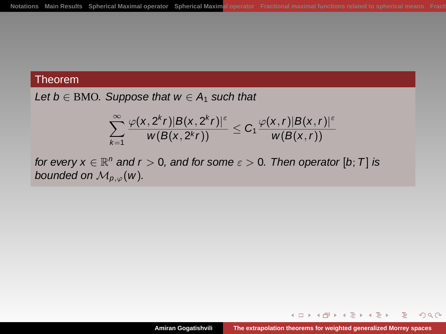Let  $b \in BMO$ . Suppose that  $w \in A_1$  such that

$$
\sum_{k=1}^{\infty} \frac{\varphi(x, 2^k r)|B(x, 2^k r)|^{\varepsilon}}{w(B(x, 2^k r))} \leq C_1 \frac{\varphi(x, r)|B(x, r)|^{\varepsilon}}{w(B(x, r))}
$$

for every  $x \in \mathbb{R}^n$  and  $r > 0$ , and for some  $\varepsilon > 0$ . Then operator  $[b; T]$  is bounded on  $M_{p,\varphi}(w)$ .

イロト イ伊 トイミト イヨト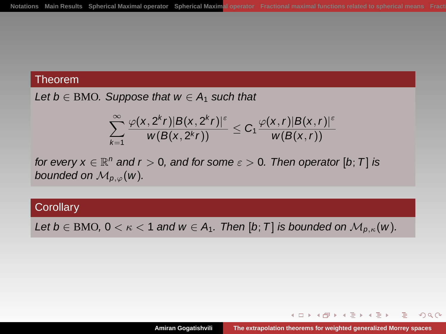Let  $b \in BMO$ . Suppose that  $w \in A_1$  such that

$$
\sum_{k=1}^{\infty} \frac{\varphi(x, 2^k r)|B(x, 2^k r)|^{\varepsilon}}{w(B(x, 2^k r))} \leq C_1 \frac{\varphi(x, r)|B(x, r)|^{\varepsilon}}{w(B(x, r))}
$$

for every  $x \in \mathbb{R}^n$  and  $r > 0$ , and for some  $\varepsilon > 0$ . Then operator  $[b; T]$  is bounded on  $M_{p,\varphi}(w)$ .

## **Corollary**

Let  $b \in BMO$ ,  $0 < \kappa < 1$  and  $w \in A_1$ . Then [b; T] is bounded on  $\mathcal{M}_{p,\kappa}(w)$ .

イロト イ伊 トイミト イヨト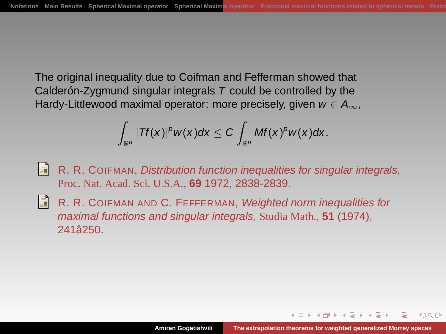The original inequality due to Coifman and Fefferman showed that Calderón-Zygmund singular integrals  $T$  could be controlled by the Hardy-Littlewood maximal operator: more precisely, given  $w \in A_{\infty}$ ,

$$
\int_{\mathbb{R}^n} |Tf(x)|^p w(x) dx \leq C \int_{\mathbb{R}^n} Mf(x)^p w(x) dx.
$$

H R. R. COIFMAN, Distribution function inequalities for singular integrals, Proc. Nat. Acad. Sci. U.S.A., **69** 1972, 2838-2839.

Ħ. R. R. COIFMAN AND C. FEFFERMAN, Weighted norm inequalities for maximal functions and singular integrals, Studia Math., **51** (1974), 241â250.

<span id="page-59-0"></span>A + + = + + =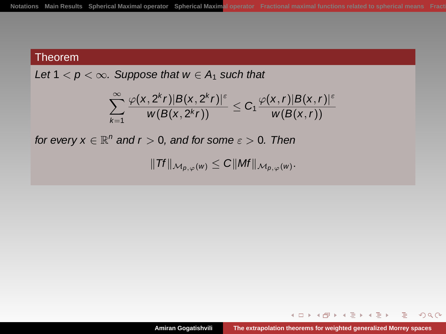Let  $1 < p < \infty$ . Suppose that  $w \in A_1$  such that

$$
\sum_{k=1}^{\infty} \frac{\varphi(x, 2^k r)|B(x, 2^k r)|^{\varepsilon}}{w(B(x, 2^k r))} \leq C_1 \frac{\varphi(x, r)|B(x, r)|^{\varepsilon}}{w(B(x, r))}
$$

for every  $x \in \mathbb{R}^n$  and  $r > 0$ , and for some  $\varepsilon > 0$ . Then

$$
||\mathit{Tf}||_{\mathcal{M}_{p,\varphi}(w)} \leq C||\mathit{Mf}||_{\mathcal{M}_{p,\varphi}(w)}.
$$

イロト イ伊 トイヨ トイヨト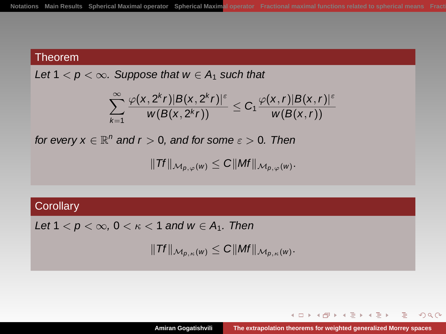Let  $1 < p < \infty$ . Suppose that  $w \in A_1$  such that

$$
\sum_{k=1}^{\infty} \frac{\varphi(x, 2^k r)|B(x, 2^k r)|^{\varepsilon}}{w(B(x, 2^k r))} \leq C_1 \frac{\varphi(x, r)|B(x, r)|^{\varepsilon}}{w(B(x, r))}
$$

for every  $x \in \mathbb{R}^n$  and  $r > 0$ , and for some  $\varepsilon > 0$ . Then

$$
||\mathit{Tf}||_{\mathcal{M}_{p,\varphi}(w)} \leq C||\mathit{Mf}||_{\mathcal{M}_{p,\varphi}(w)}.
$$

### **Corollary**

Let  $1 < p < \infty$ ,  $0 < \kappa < 1$  and  $w \in A_1$ . Then

 $\|Tf\|_{\mathcal{M}_{p,\kappa}(w)} \leq C \|Mf\|_{\mathcal{M}_{p,\kappa}(w)}.$ 

イロト イ伊 トイミト イヨト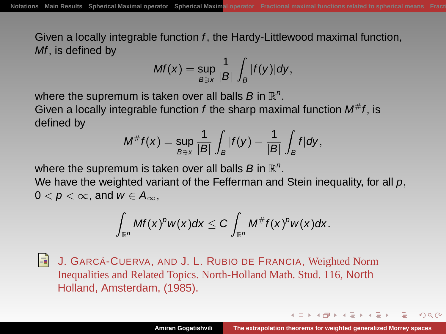Given a locally integrable function f, the Hardy-Littlewood maximal function, Mf, is defined by

$$
Mf(x)=\sup_{B\ni x}\frac{1}{|B|}\int_B|f(y)|dy,
$$

where the supremum is taken over all balls B in  $\mathbb{R}^n$ .

Given a locally integrable function  $f$  the sharp maximal function  $M^{\#}f$ , is defined by

$$
M^{\#}f(x)=\sup_{B\ni x}\frac{1}{|B|}\int_B|f(y)-\frac{1}{|B|}\int_Bf|dy,
$$

where the supremum is taken over all balls B in  $\mathbb{R}^n$ .

We have the weighted variant of the Fefferman and Stein inequality, for all  $p$ ,  $0 < p < \infty$ , and  $w \in A_{\infty}$ ,

$$
\int_{\mathbb{R}^n}Mf(x)^p w(x)dx \leq C \int_{\mathbb{R}^n}M^{\#}f(x)^p w(x)dx.
$$

圖 J. GARCÁ-CUERVA, AND J. L. RUBIO DE FRANCIA, Weighted Norm Inequalities and Related Topics. North-Holland Math. Stud. 116, North Holland, Amsterdam, (1985).

<span id="page-62-0"></span>イロト イタト イモト イモト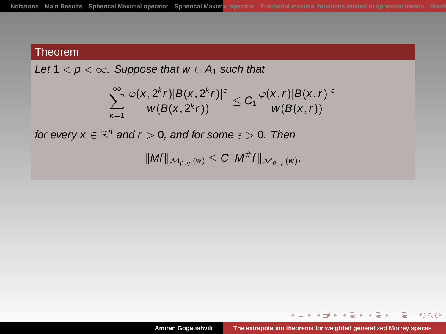Let  $1 < p < \infty$ . Suppose that  $w \in A_1$  such that

$$
\sum_{k=1}^{\infty} \frac{\varphi(x, 2^k r)|B(x, 2^k r)|^{\epsilon}}{w(B(x, 2^k r))} \leq C_1 \frac{\varphi(x, r)|B(x, r)|^{\epsilon}}{w(B(x, r))}
$$

for every  $x \in \mathbb{R}^n$  and  $r > 0$ , and for some  $\varepsilon > 0$ . Then

$$
||Mf||_{\mathcal{M}_{p,\varphi}(w)} \leq C||M^{\#}f||_{\mathcal{M}_{p,\varphi}(w)}.
$$

イロト イ伊 トイミト イヨト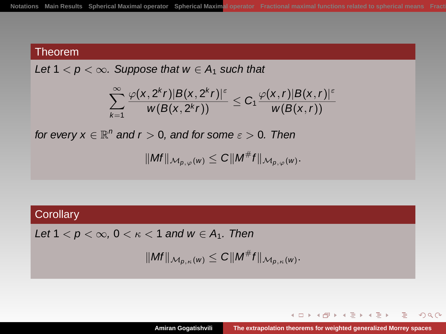Let  $1 < p < \infty$ . Suppose that  $w \in A_1$  such that

$$
\sum_{k=1}^{\infty} \frac{\varphi(x, 2^k r)|B(x, 2^k r)|^{\epsilon}}{w(B(x, 2^k r))} \leq C_1 \frac{\varphi(x, r)|B(x, r)|^{\epsilon}}{w(B(x, r))}
$$

for every  $x \in \mathbb{R}^n$  and  $r > 0$ , and for some  $\varepsilon > 0$ . Then

$$
||Mf||_{\mathcal{M}_{p,\varphi}(w)} \leq C||M^{\#}f||_{\mathcal{M}_{p,\varphi}(w)}.
$$

## **Corollary**

Let  $1 < p < \infty$ ,  $0 < \kappa < 1$  and  $w \in A_1$ . Then

$$
||Mf||_{\mathcal{M}_{p,\kappa}(w)} \leq C||M^{\#}f||_{\mathcal{M}_{p,\kappa}(w)}.
$$

イロト イ伊 トイミト イヨト